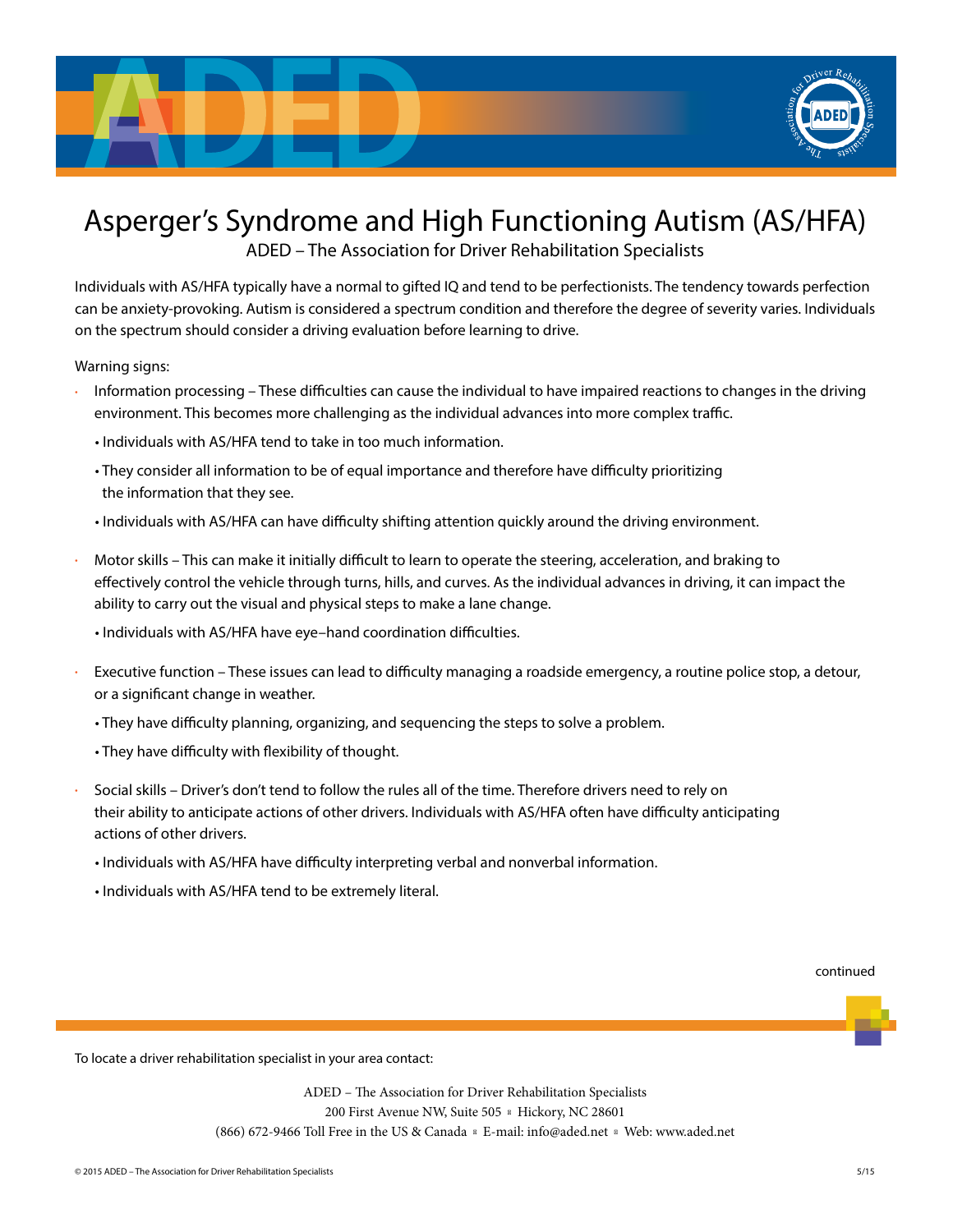

## Asperger's Syndrome and High Functioning Autism (AS/HFA)

ADED – The Association for Driver Rehabilitation Specialists

Individuals with AS/HFA typically have a normal to gifted IQ and tend to be perfectionists. The tendency towards perfection can be anxiety-provoking. Autism is considered a spectrum condition and therefore the degree of severity varies. Individuals on the spectrum should consider a driving evaluation before learning to drive.

Warning signs:

- Information processing These difficulties can cause the individual to have impaired reactions to changes in the driving environment. This becomes more challenging as the individual advances into more complex traffic.
	- Individuals with AS/HFA tend to take in too much information.
	- They consider all information to be of equal importance and therefore have difficulty prioritizing the information that they see.
	- Individuals with AS/HFA can have difficulty shifting attention quickly around the driving environment.
- Motor skills This can make it initially difficult to learn to operate the steering, acceleration, and braking to effectively control the vehicle through turns, hills, and curves. As the individual advances in driving, it can impact the ability to carry out the visual and physical steps to make a lane change.
	- Individuals with AS/HFA have eye–hand coordination difficulties.
- Executive function These issues can lead to difficulty managing a roadside emergency, a routine police stop, a detour, or a significant change in weather.
	- They have difficulty planning, organizing, and sequencing the steps to solve a problem.
	- They have difficulty with flexibility of thought.
- Social skills Driver's don't tend to follow the rules all of the time. Therefore drivers need to rely on their ability to anticipate actions of other drivers. Individuals with AS/HFA often have difficulty anticipating actions of other drivers.
	- Individuals with AS/HFA have difficulty interpreting verbal and nonverbal information.
	- Individuals with AS/HFA tend to be extremely literal.

## continued

To locate a driver rehabilitation specialist in your area contact:

ADED – The Association for Driver Rehabilitation Specialists 200 First Avenue NW, Suite 505 Hickory, NC 28601 (866) 672-9466 Toll Free in the US & Canada E-mail: info@aded.net Web: www.aded.net